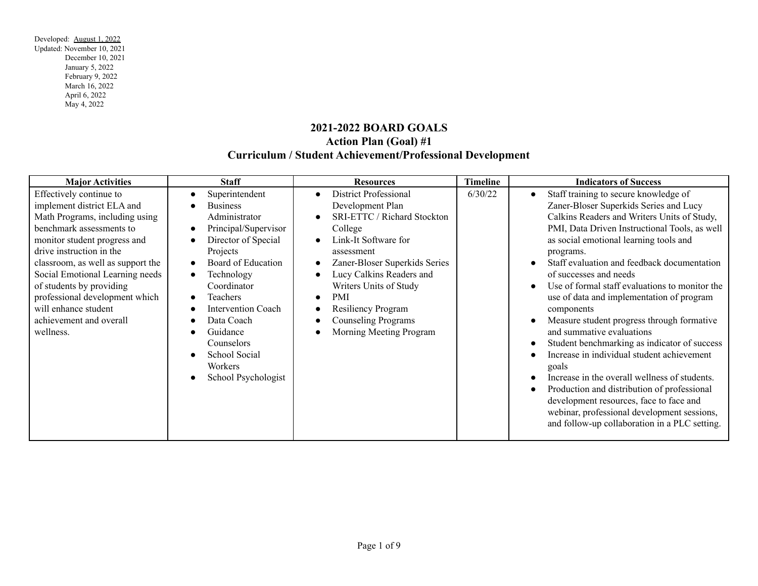# **2021-2022 BOARD GOALS Action Plan (Goal) #1 Curriculum / Student Achievement/Professional Development**

| <b>Major Activities</b>                                                                                                                                                                                                                                                                                                                                                               | <b>Staff</b>                                                                                                                                                                                                                                                                                         | <b>Resources</b>                                                                                                                                                                                                                                                                                                     | <b>Timeline</b> | <b>Indicators of Success</b>                                                                                                                                                                                                                                                                                                                                                                                                                                                                                                                                                                                                                                                                                                                                                                                                                              |
|---------------------------------------------------------------------------------------------------------------------------------------------------------------------------------------------------------------------------------------------------------------------------------------------------------------------------------------------------------------------------------------|------------------------------------------------------------------------------------------------------------------------------------------------------------------------------------------------------------------------------------------------------------------------------------------------------|----------------------------------------------------------------------------------------------------------------------------------------------------------------------------------------------------------------------------------------------------------------------------------------------------------------------|-----------------|-----------------------------------------------------------------------------------------------------------------------------------------------------------------------------------------------------------------------------------------------------------------------------------------------------------------------------------------------------------------------------------------------------------------------------------------------------------------------------------------------------------------------------------------------------------------------------------------------------------------------------------------------------------------------------------------------------------------------------------------------------------------------------------------------------------------------------------------------------------|
| Effectively continue to<br>implement district ELA and<br>Math Programs, including using<br>benchmark assessments to<br>monitor student progress and<br>drive instruction in the<br>classroom, as well as support the<br>Social Emotional Learning needs<br>of students by providing<br>professional development which<br>will enhance student<br>achievement and overall<br>wellness. | Superintendent<br><b>Business</b><br>Administrator<br>Principal/Supervisor<br>Director of Special<br>Projects<br>Board of Education<br>Technology<br>Coordinator<br>Teachers<br><b>Intervention Coach</b><br>Data Coach<br>Guidance<br>Counselors<br>School Social<br>Workers<br>School Psychologist | <b>District Professional</b><br>Development Plan<br><b>SRI-ETTC / Richard Stockton</b><br>College<br>Link-It Software for<br>assessment<br>Zaner-Bloser Superkids Series<br>Lucy Calkins Readers and<br>Writers Units of Study<br>PMI<br>Resiliency Program<br><b>Counseling Programs</b><br>Morning Meeting Program | 6/30/22         | Staff training to secure knowledge of<br>Zaner-Bloser Superkids Series and Lucy<br>Calkins Readers and Writers Units of Study,<br>PMI, Data Driven Instructional Tools, as well<br>as social emotional learning tools and<br>programs.<br>Staff evaluation and feedback documentation<br>of successes and needs<br>Use of formal staff evaluations to monitor the<br>use of data and implementation of program<br>components<br>Measure student progress through formative<br>and summative evaluations<br>Student benchmarking as indicator of success<br>Increase in individual student achievement<br>goals<br>Increase in the overall wellness of students.<br>Production and distribution of professional<br>development resources, face to face and<br>webinar, professional development sessions,<br>and follow-up collaboration in a PLC setting. |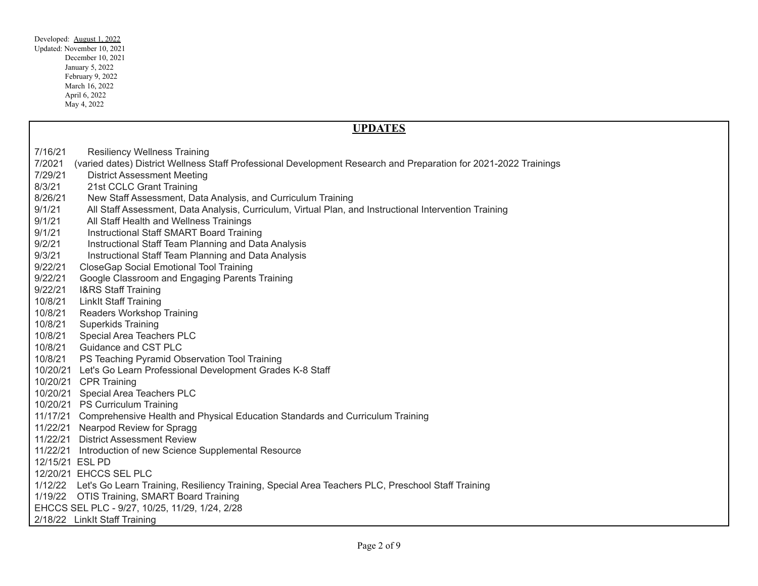| Developed: August 1, 2022  |  |  |  |  |  |
|----------------------------|--|--|--|--|--|
| Updated: November 10, 2021 |  |  |  |  |  |
| December 10, 2021          |  |  |  |  |  |
| January 5, 2022            |  |  |  |  |  |
| February 9, 2022           |  |  |  |  |  |
| March 16, 2022             |  |  |  |  |  |
| April 6, 2022              |  |  |  |  |  |
| May 4, 2022                |  |  |  |  |  |
|                            |  |  |  |  |  |

|         | <b>UPDATES</b>                                                                                                   |
|---------|------------------------------------------------------------------------------------------------------------------|
| 7/16/21 | <b>Resiliency Wellness Training</b>                                                                              |
| 7/2021  | (varied dates) District Wellness Staff Professional Development Research and Preparation for 2021-2022 Trainings |
| 7/29/21 | <b>District Assessment Meeting</b>                                                                               |
| 8/3/21  | 21st CCLC Grant Training                                                                                         |
| 8/26/21 | New Staff Assessment, Data Analysis, and Curriculum Training                                                     |
| 9/1/21  | All Staff Assessment, Data Analysis, Curriculum, Virtual Plan, and Instructional Intervention Training           |
| 9/1/21  | All Staff Health and Wellness Trainings                                                                          |
| 9/1/21  | Instructional Staff SMART Board Training                                                                         |
| 9/2/21  | Instructional Staff Team Planning and Data Analysis                                                              |
| 9/3/21  | Instructional Staff Team Planning and Data Analysis                                                              |
| 9/22/21 | <b>CloseGap Social Emotional Tool Training</b>                                                                   |
| 9/22/21 | Google Classroom and Engaging Parents Training                                                                   |
| 9/22/21 | <b>I&amp;RS Staff Training</b>                                                                                   |
| 10/8/21 | <b>Linklt Staff Training</b>                                                                                     |
| 10/8/21 | Readers Workshop Training                                                                                        |
| 10/8/21 | <b>Superkids Training</b>                                                                                        |
| 10/8/21 | Special Area Teachers PLC                                                                                        |
| 10/8/21 | Guidance and CST PLC                                                                                             |
| 10/8/21 | PS Teaching Pyramid Observation Tool Training                                                                    |
|         | 10/20/21 Let's Go Learn Professional Development Grades K-8 Staff                                                |
|         | 10/20/21 CPR Training                                                                                            |
|         | 10/20/21 Special Area Teachers PLC                                                                               |
|         | 10/20/21 PS Curriculum Training                                                                                  |
|         | 11/17/21 Comprehensive Health and Physical Education Standards and Curriculum Training                           |
|         | 11/22/21 Nearpod Review for Spragg                                                                               |
|         | 11/22/21 District Assessment Review                                                                              |
|         | 11/22/21 Introduction of new Science Supplemental Resource                                                       |
|         | 12/15/21 ESL PD                                                                                                  |
|         | 12/20/21 EHCCS SEL PLC                                                                                           |
| 1/12/22 | Let's Go Learn Training, Resiliency Training, Special Area Teachers PLC, Preschool Staff Training                |
| 1/19/22 | <b>OTIS Training, SMART Board Training</b>                                                                       |
|         | EHCCS SEL PLC - 9/27, 10/25, 11/29, 1/24, 2/28                                                                   |
|         | 2/18/22 Linklt Staff Training                                                                                    |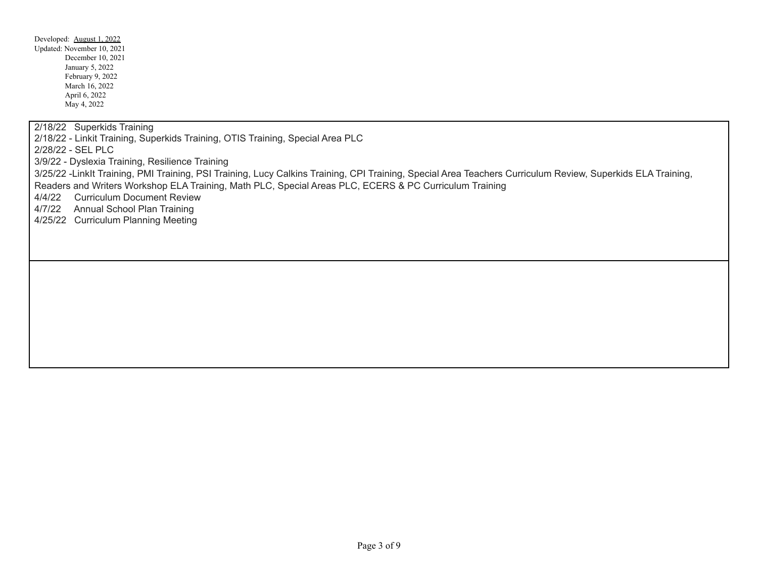2/18/22 Superkids Training

2/18/22 - Linkit Training, Superkids Training, OTIS Training, Special Area PLC

2/28/22 - SEL PLC

3/9/22 - Dyslexia Training, Resilience Training

3/25/22 -LinkIt Training, PMI Training, PSI Training, Lucy Calkins Training, CPI Training, Special Area Teachers Curriculum Review, Superkids ELA Training, Readers and Writers Workshop ELA Training, Math PLC, Special Areas PLC, ECERS & PC Curriculum Training

4/4/22 Curriculum Document Review

4/7/22 Annual School Plan Training

4/25/22 Curriculum Planning Meeting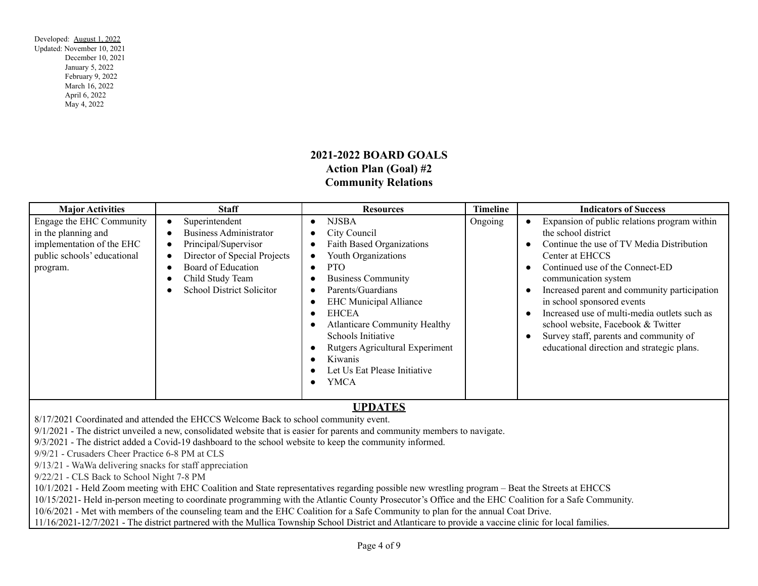# **2021-2022 BOARD GOALS Action Plan (Goal) #2 Community Relations**

| <b>Major Activities</b>                                                                                                 | <b>Staff</b>                                                                                                                                                                   | <b>Resources</b>                                                                                                                                                                                                                                                                                                                                                                       | <b>Timeline</b> | <b>Indicators of Success</b>                                                                                                                                                                                                                                                                                                                                                                                                                               |
|-------------------------------------------------------------------------------------------------------------------------|--------------------------------------------------------------------------------------------------------------------------------------------------------------------------------|----------------------------------------------------------------------------------------------------------------------------------------------------------------------------------------------------------------------------------------------------------------------------------------------------------------------------------------------------------------------------------------|-----------------|------------------------------------------------------------------------------------------------------------------------------------------------------------------------------------------------------------------------------------------------------------------------------------------------------------------------------------------------------------------------------------------------------------------------------------------------------------|
| Engage the EHC Community<br>in the planning and<br>implementation of the EHC<br>public schools' educational<br>program. | Superintendent<br><b>Business Administrator</b><br>Principal/Supervisor<br>Director of Special Projects<br>Board of Education<br>Child Study Team<br>School District Solicitor | <b>NJSBA</b><br>$\bullet$<br>City Council<br><b>Faith Based Organizations</b><br>Youth Organizations<br><b>PTO</b><br>$\bullet$<br><b>Business Community</b><br>Parents/Guardians<br><b>EHC</b> Municipal Alliance<br>EHCEA<br><b>Atlanticare Community Healthy</b><br>Schools Initiative<br>Rutgers Agricultural Experiment<br>Kiwanis<br>Let Us Eat Please Initiative<br><b>YMCA</b> | Ongoing         | Expansion of public relations program within<br>the school district<br>Continue the use of TV Media Distribution<br>Center at EHCCS<br>Continued use of the Connect-ED<br>communication system<br>Increased parent and community participation<br>in school sponsored events<br>Increased use of multi-media outlets such as<br>school website, Facebook & Twitter<br>Survey staff, parents and community of<br>educational direction and strategic plans. |

# **UPDATES**

8/17/2021 Coordinated and attended the EHCCS Welcome Back to school community event.

9/1/2021 - The district unveiled a new, consolidated website that is easier for parents and community members to navigate.

9/3/2021 - The district added a Covid-19 dashboard to the school website to keep the community informed.

9/9/21 - Crusaders Cheer Practice 6-8 PM at CLS

9/13/21 - WaWa delivering snacks for staff appreciation

9/22/21 - CLS Back to School Night 7-8 PM

10/1/2021 - Held Zoom meeting with EHC Coalition and State representatives regarding possible new wrestling program – Beat the Streets at EHCCS

10/15/2021- Held in-person meeting to coordinate programming with the Atlantic County Prosecutor's Office and the EHC Coalition for a Safe Community.

10/6/2021 - Met with members of the counseling team and the EHC Coalition for a Safe Community to plan for the annual Coat Drive.

11/16/2021-12/7/2021 - The district partnered with the Mullica Township School District and Atlanticare to provide a vaccine clinic for local families.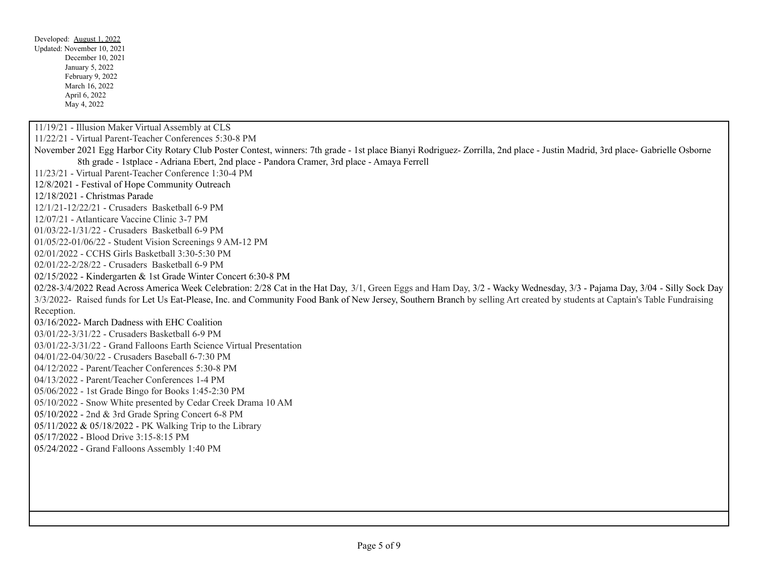Developed: August 1, 2022 Updated: November 10, 2021 December 10, 2021 January 5, 2022 February 9, 2022 March 16, 2022 April 6, 2022 May 4, 2022 11/19/21 - Illusion Maker Virtual Assembly at CLS 11/22/21 - Virtual Parent-Teacher Conferences 5:30-8 PM November 2021 Egg Harbor City Rotary Club Poster Contest, winners: 7th grade - 1st place Bianyi Rodriguez- Zorrilla, 2nd place - Justin Madrid, 3rd place- Gabrielle Osborne 8th grade - 1stplace - Adriana Ebert, 2nd place - Pandora Cramer, 3rd place - Amaya Ferrell 11/23/21 - Virtual Parent-Teacher Conference 1:30-4 PM 12/8/2021 - Festival of Hope Community Outreach 12/18/2021 - Christmas Parade 12/1/21-12/22/21 - Crusaders Basketball 6-9 PM 12/07/21 - Atlanticare Vaccine Clinic 3-7 PM 01/03/22-1/31/22 - Crusaders Basketball 6-9 PM 01/05/22-01/06/22 - Student Vision Screenings 9 AM-12 PM 02/01/2022 - CCHS Girls Basketball 3:30-5:30 PM 02/01/22-2/28/22 - Crusaders Basketball 6-9 PM 02/15/2022 - Kindergarten & 1st Grade Winter Concert 6:30-8 PM 02/28-3/4/2022 Read Across America Week Celebration: 2/28 Cat in the Hat Day, 3/1, Green Eggs and Ham Day, 3/2 - Wacky Wednesday, 3/3 - Pajama Day, 3/04 - Silly Sock Day 3/3/2022- Raised funds for Let Us Eat-Please, Inc. and Community Food Bank of New Jersey, Southern Branch by selling Art created by students at Captain's Table Fundraising Reception. 03/16/2022- March Dadness with EHC Coalition 03/01/22-3/31/22 - Crusaders Basketball 6-9 PM 03/01/22-3/31/22 - Grand Falloons Earth Science Virtual Presentation 04/01/22-04/30/22 - Crusaders Baseball 6-7:30 PM 04/12/2022 - Parent/Teacher Conferences 5:30-8 PM 04/13/2022 - Parent/Teacher Conferences 1-4 PM 05/06/2022 - 1st Grade Bingo for Books 1:45-2:30 PM 05/10/2022 - Snow White presented by Cedar Creek Drama 10 AM 05/10/2022 - 2nd & 3rd Grade Spring Concert 6-8 PM 05/11/2022 & 05/18/2022 - PK Walking Trip to the Library 05/17/2022 - Blood Drive 3:15-8:15 PM 05/24/2022 - Grand Falloons Assembly 1:40 PM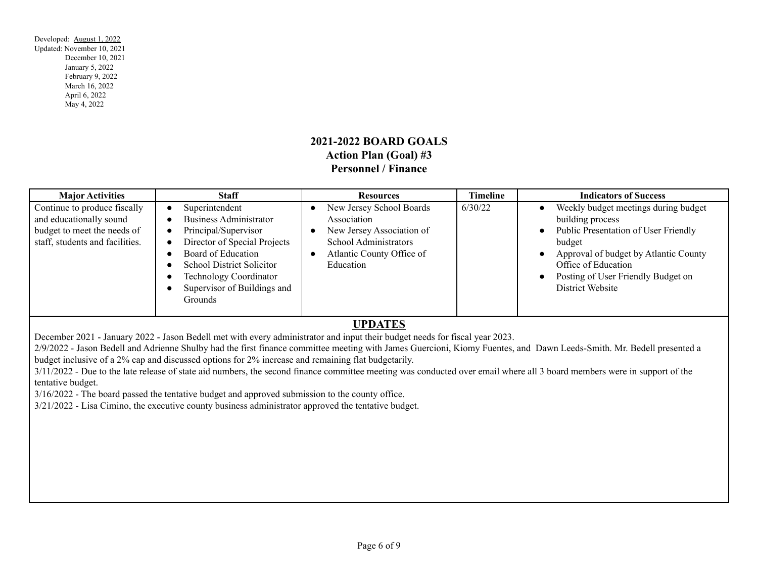## **2021-2022 BOARD GOALS Action Plan (Goal) #3 Personnel / Finance**

| <b>Major Activities</b>                                                                                                   | <b>Staff</b>                                                                                                                                                                                                                                 | <b>Resources</b>                                                                                                                        | <b>Timeline</b> | <b>Indicators of Success</b>                                                                                                                                                                                                                                                             |
|---------------------------------------------------------------------------------------------------------------------------|----------------------------------------------------------------------------------------------------------------------------------------------------------------------------------------------------------------------------------------------|-----------------------------------------------------------------------------------------------------------------------------------------|-----------------|------------------------------------------------------------------------------------------------------------------------------------------------------------------------------------------------------------------------------------------------------------------------------------------|
| Continue to produce fiscally<br>and educationally sound<br>budget to meet the needs of<br>staff, students and facilities. | Superintendent<br><b>Business Administrator</b><br>Principal/Supervisor<br>Director of Special Projects<br>Board of Education<br><b>School District Solicitor</b><br><b>Technology Coordinator</b><br>Supervisor of Buildings and<br>Grounds | New Jersey School Boards<br>Association<br>New Jersey Association of<br>School Administrators<br>Atlantic County Office of<br>Education | 6/30/22         | Weekly budget meetings during budget<br>$\bullet$<br>building process<br>Public Presentation of User Friendly<br>$\bullet$<br>budget<br>Approval of budget by Atlantic County<br>$\bullet$<br>Office of Education<br>Posting of User Friendly Budget on<br>$\bullet$<br>District Website |

#### **UPDATES**

December 2021 - January 2022 - Jason Bedell met with every administrator and input their budget needs for fiscal year 2023.

2/9/2022 - Jason Bedell and Adrienne Shulby had the first finance committee meeting with James Guercioni, Kiomy Fuentes, and Dawn Leeds-Smith. Mr. Bedell presented a budget inclusive of a 2% cap and discussed options for 2% increase and remaining flat budgetarily.

3/11/2022 - Due to the late release of state aid numbers, the second finance committee meeting was conducted over email where all 3 board members were in support of the tentative budget.

3/16/2022 - The board passed the tentative budget and approved submission to the county office.

3/21/2022 - Lisa Cimino, the executive county business administrator approved the tentative budget.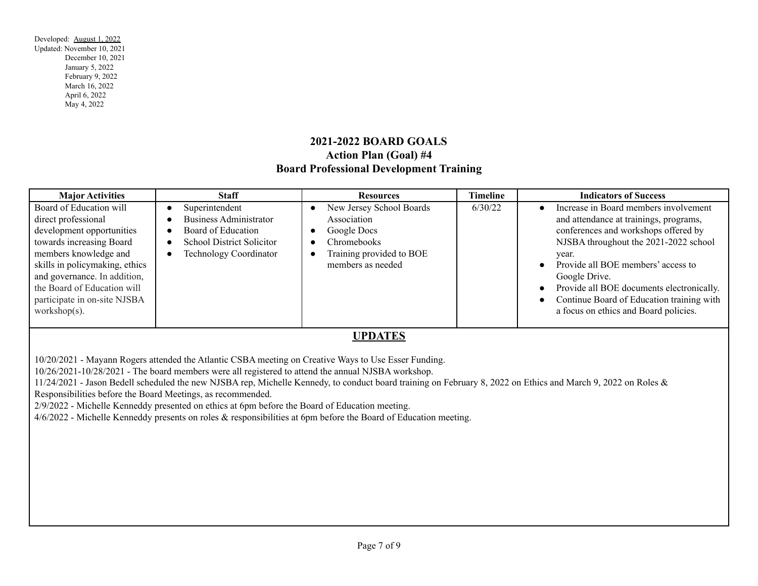# **2021-2022 BOARD GOALS Action Plan (Goal) #4 Board Professional Development Training**

| <b>Major Activities</b>                                                                                                                                                                                                                                                               | <b>Staff</b>                                                                                                                               | <b>Resources</b>                                                                                                                                 | <b>Timeline</b> | <b>Indicators of Success</b>                                                                                                                                                                                                                                                                                                                                                                  |  |
|---------------------------------------------------------------------------------------------------------------------------------------------------------------------------------------------------------------------------------------------------------------------------------------|--------------------------------------------------------------------------------------------------------------------------------------------|--------------------------------------------------------------------------------------------------------------------------------------------------|-----------------|-----------------------------------------------------------------------------------------------------------------------------------------------------------------------------------------------------------------------------------------------------------------------------------------------------------------------------------------------------------------------------------------------|--|
| Board of Education will<br>direct professional<br>development opportunities<br>towards increasing Board<br>members knowledge and<br>skills in policymaking, ethics<br>and governance. In addition,<br>the Board of Education will<br>participate in on-site NJSBA<br>workshop $(s)$ . | Superintendent<br><b>Business Administrator</b><br>Board of Education<br><b>School District Solicitor</b><br><b>Technology Coordinator</b> | New Jersey School Boards<br>Association<br>Google Docs<br>$\bullet$<br>Chromebooks<br>Training provided to BOE<br>$\bullet$<br>members as needed | 6/30/22         | Increase in Board members involvement<br>and attendance at trainings, programs,<br>conferences and workshops offered by<br>NJSBA throughout the 2021-2022 school<br>year.<br>Provide all BOE members' access to<br>$\bullet$<br>Google Drive.<br>Provide all BOE documents electronically.<br>$\bullet$<br>Continue Board of Education training with<br>a focus on ethics and Board policies. |  |
| <b>UPDATES</b><br>10/20/2021 - Mayann Rogers attended the Atlantic CSBA meeting on Creative Ways to Use Esser Funding.<br>$10/2$ (2021 $10/20/2021$ The Lemma sensitive serves in the state of the state of the second MICD Association                                               |                                                                                                                                            |                                                                                                                                                  |                 |                                                                                                                                                                                                                                                                                                                                                                                               |  |

10/26/2021-10/28/2021 - The board members were all registered to attend the annual NJSBA workshop.

11/24/2021 - Jason Bedell scheduled the new NJSBA rep, Michelle Kennedy, to conduct board training on February 8, 2022 on Ethics and March 9, 2022 on Roles & Responsibilities before the Board Meetings, as recommended.

2/9/2022 - Michelle Kenneddy presented on ethics at 6pm before the Board of Education meeting.

4/6/2022 - Michelle Kenneddy presents on roles & responsibilities at 6pm before the Board of Education meeting.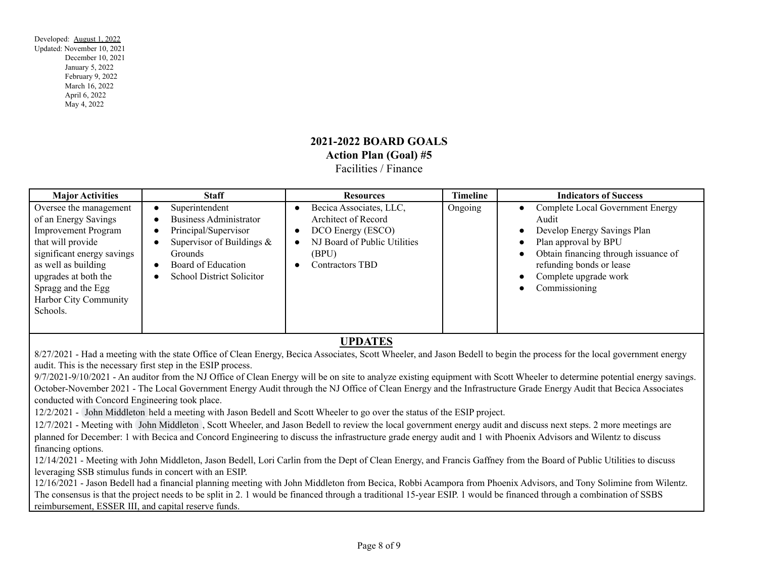### **2021-2022 BOARD GOALS Action Plan (Goal) #5** Facilities / Finance

| <b>Major Activities</b>                                                                                                                                                                                                                   | <b>Staff</b>                                                                                                                                                                        | <b>Resources</b>                                                                                                                | <b>Timeline</b> | <b>Indicators of Success</b>                                                                                                                                                                                                                                                                 |
|-------------------------------------------------------------------------------------------------------------------------------------------------------------------------------------------------------------------------------------------|-------------------------------------------------------------------------------------------------------------------------------------------------------------------------------------|---------------------------------------------------------------------------------------------------------------------------------|-----------------|----------------------------------------------------------------------------------------------------------------------------------------------------------------------------------------------------------------------------------------------------------------------------------------------|
| Oversee the management<br>of an Energy Savings<br><b>Improvement Program</b><br>that will provide<br>significant energy savings<br>as well as building<br>upgrades at both the<br>Spragg and the Egg<br>Harbor City Community<br>Schools. | Superintendent<br><b>Business Administrator</b><br>Principal/Supervisor<br>Supervisor of Buildings $\&$<br><b>Grounds</b><br>Board of Education<br><b>School District Solicitor</b> | Becica Associates, LLC,<br>Architect of Record<br>DCO Energy (ESCO)<br>NJ Board of Public Utilities<br>(BPU)<br>Contractors TBD | Ongoing         | Complete Local Government Energy<br>$\bullet$<br>Audit<br>Develop Energy Savings Plan<br>$\bullet$<br>Plan approval by BPU<br>$\bullet$<br>Obtain financing through issuance of<br>$\bullet$<br>refunding bonds or lease<br>Complete upgrade work<br>$\bullet$<br>Commissioning<br>$\bullet$ |

#### **UPDATES**

8/27/2021 - Had a meeting with the state Office of Clean Energy, Becica Associates, Scott Wheeler, and Jason Bedell to begin the process for the local government energy audit. This is the necessary first step in the ESIP process.

9/7/2021-9/10/2021 - An auditor from the NJ Office of Clean Energy will be on site to analyze existing equipment with Scott Wheeler to determine potential energy savings. October-November 2021 - The Local Government Energy Audit through the NJ Office of Clean Energy and the Infrastructure Grade Energy Audit that Becica Associates conducted with Concord Engineering took place.

12/2/2021 - John [Middleton](mailto:JJMiddleton@becicaassociates.com) held a meeting with Jason Bedell and Scott Wheeler to go over the status of the ESIP project.

12/7/2021 - Meeting with John [Middleton](mailto:JJMiddleton@becicaassociates.com) , Scott Wheeler, and Jason Bedell to review the local government energy audit and discuss next steps. 2 more meetings are planned for December: 1 with Becica and Concord Engineering to discuss the infrastructure grade energy audit and 1 with Phoenix Advisors and Wilentz to discuss financing options.

12/14/2021 - Meeting with John Middleton, Jason Bedell, Lori Carlin from the Dept of Clean Energy, and Francis Gaffney from the Board of Public Utilities to discuss leveraging SSB stimulus funds in concert with an ESIP.

12/16/2021 - Jason Bedell had a financial planning meeting with John Middleton from Becica, Robbi Acampora from Phoenix Advisors, and Tony Solimine from Wilentz. The consensus is that the project needs to be split in 2. 1 would be financed through a traditional 15-year ESIP. 1 would be financed through a combination of SSBS reimbursement, ESSER III, and capital reserve funds.